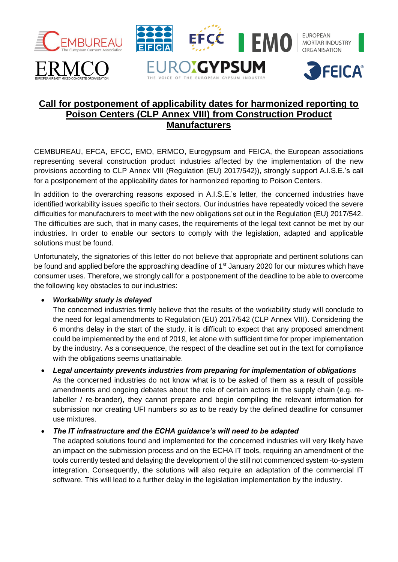

# **Call for postponement of applicability dates for harmonized reporting to Poison Centers (CLP Annex VIII) from Construction Product Manufacturers**

CEMBUREAU, EFCA, EFCC, EMO, ERMCO, Eurogypsum and FEICA, the European associations representing several construction product industries affected by the implementation of the new provisions according to CLP Annex VIII (Regulation (EU) 2017/542)), strongly support A.I.S.E.'s call for a postponement of the applicability dates for harmonized reporting to Poison Centers.

In addition to the overarching reasons exposed in A.I.S.E.'s letter, the concerned industries have identified workability issues specific to their sectors. Our industries have repeatedly voiced the severe difficulties for manufacturers to meet with the new obligations set out in the Regulation (EU) 2017/542. The difficulties are such, that in many cases, the requirements of the legal text cannot be met by our industries. In order to enable our sectors to comply with the legislation, adapted and applicable solutions must be found.

Unfortunately, the signatories of this letter do not believe that appropriate and pertinent solutions can be found and applied before the approaching deadline of 1<sup>st</sup> January 2020 for our mixtures which have consumer uses. Therefore, we strongly call for a postponement of the deadline to be able to overcome the following key obstacles to our industries:

## • *Workability study is delayed*

The concerned industries firmly believe that the results of the workability study will conclude to the need for legal amendments to Regulation (EU) 2017/542 (CLP Annex VIII). Considering the 6 months delay in the start of the study, it is difficult to expect that any proposed amendment could be implemented by the end of 2019, let alone with sufficient time for proper implementation by the industry. As a consequence, the respect of the deadline set out in the text for compliance with the obligations seems unattainable.

• *Legal uncertainty prevents industries from preparing for implementation of obligations*

As the concerned industries do not know what is to be asked of them as a result of possible amendments and ongoing debates about the role of certain actors in the supply chain (e.g. relabeller / re-brander), they cannot prepare and begin compiling the relevant information for submission nor creating UFI numbers so as to be ready by the defined deadline for consumer use mixtures.

## • *The IT infrastructure and the ECHA guidance's will need to be adapted*

The adapted solutions found and implemented for the concerned industries will very likely have an impact on the submission process and on the ECHA IT tools, requiring an amendment of the tools currently tested and delaying the development of the still not commenced system-to-system integration. Consequently, the solutions will also require an adaptation of the commercial IT software. This will lead to a further delay in the legislation implementation by the industry.